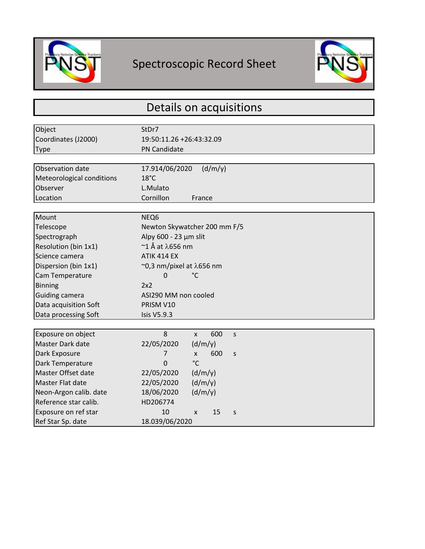

Г

## Spectroscopic Record Sheet



| Details on acquisitions   |                                         |
|---------------------------|-----------------------------------------|
|                           |                                         |
| Object                    | StDr7                                   |
| Coordinates (J2000)       | 19:50:11.26 +26:43:32.09                |
| <b>Type</b>               | <b>PN Candidate</b>                     |
|                           |                                         |
| Observation date          | 17.914/06/2020<br>(d/m/y)               |
| Meteorological conditions | $18^{\circ}$ C                          |
| Observer                  | L.Mulato                                |
| Location                  | Cornillon<br>France                     |
|                           |                                         |
| Mount                     | NEQ6                                    |
| Telescope                 | Newton Skywatcher 200 mm F/5            |
| Spectrograph              | Alpy 600 - 23 µm slit                   |
| Resolution (bin 1x1)      | $~$ $\sim$ 1 Å at $\lambda$ 656 nm      |
| Science camera            | <b>ATIK 414 EX</b>                      |
| Dispersion (bin 1x1)      | $\sim$ 0,3 nm/pixel at $\lambda$ 656 nm |
| Cam Temperature           | $^{\circ}$ C<br>$\Omega$                |
| <b>Binning</b>            | 2x2                                     |
| <b>Guiding camera</b>     | ASI290 MM non cooled                    |
| Data acquisition Soft     | PRISM V10                               |
| Data processing Soft      | <b>Isis V5.9.3</b>                      |
|                           |                                         |
| Exposure on object        | 8<br>600<br>$\mathsf{x}$<br>S           |
| Master Dark date          | 22/05/2020<br>(d/m/y)                   |
| Dark Exposure             | 600<br>7<br>S<br>X                      |
| Dark Temperature          | $\rm ^{\circ}C$<br>$\Omega$             |
| Master Offset date        | 22/05/2020<br>(d/m/y)                   |
| Master Flat date          | 22/05/2020<br>(d/m/y)                   |
| Neon-Argon calib. date    | 18/06/2020<br>(d/m/y)                   |
| Reference star calib.     | HD206774                                |
| Exposure on ref star      | 10<br>15<br>X<br>S                      |
| Ref Star Sp. date         | 18.039/06/2020                          |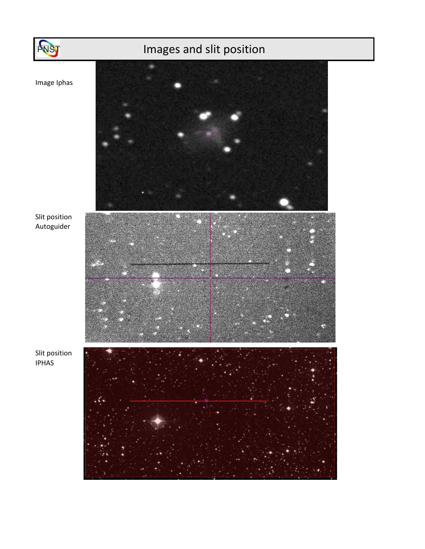

## Images and slit position

Image Iphas



Slit position Autoguider

Slit position IPHAS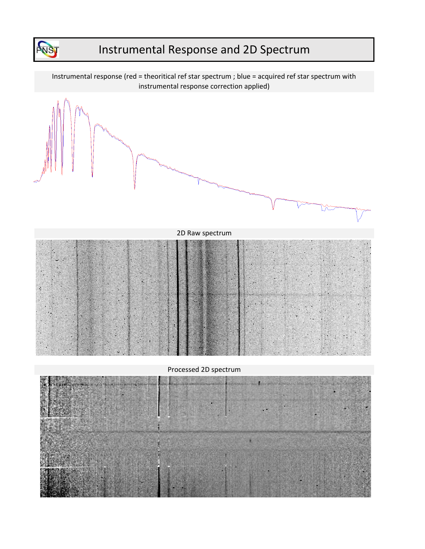

## Instrumental Response and 2D Spectrum